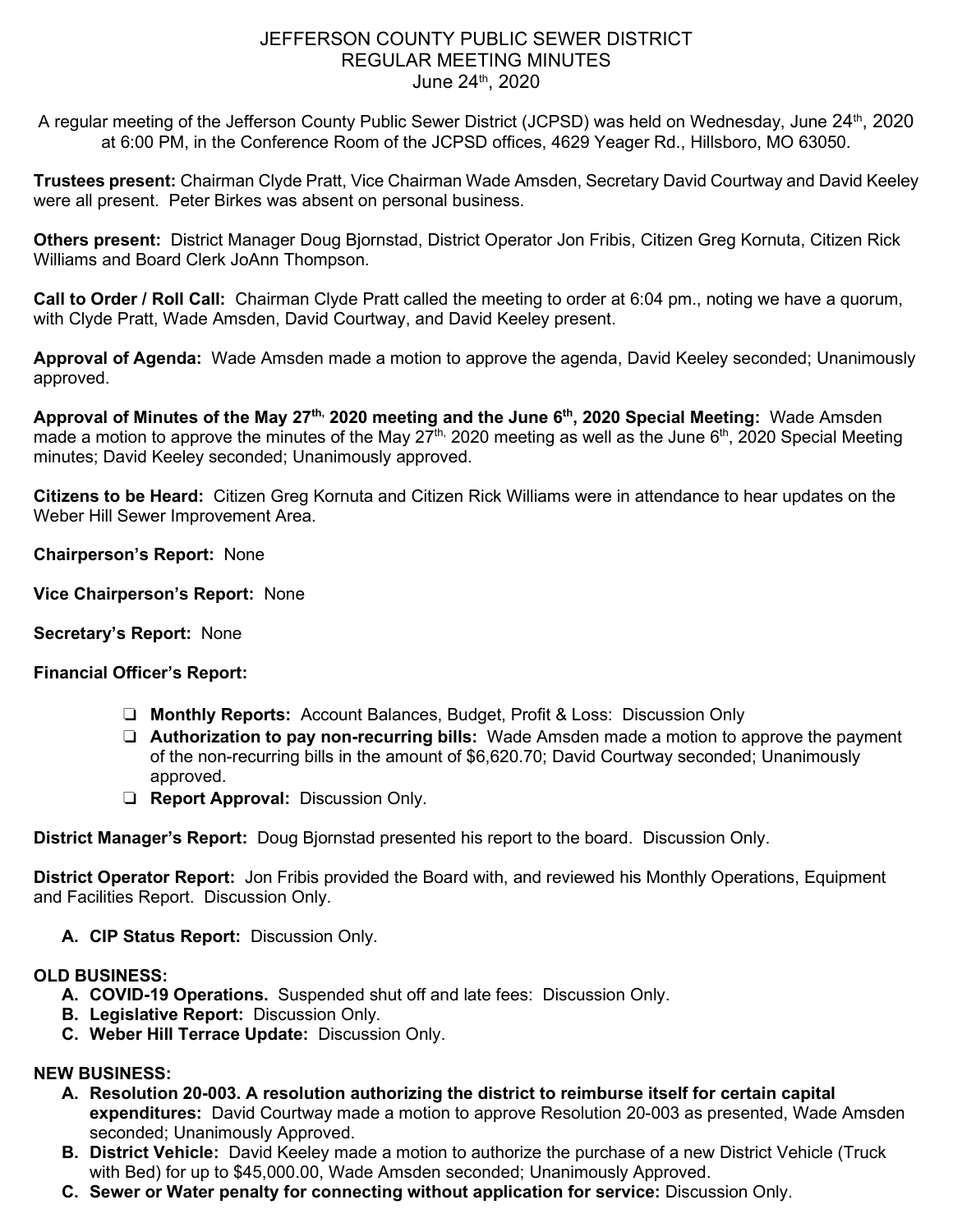## JEFFERSON COUNTY PUBLIC SEWER DISTRICT REGULAR MEETING MINUTES June 24<sup>th</sup>, 2020

A regular meeting of the Jefferson County Public Sewer District (JCPSD) was held on Wednesday, June 24<sup>th</sup>, 2020 at 6:00 PM, in the Conference Room of the JCPSD offices, 4629 Yeager Rd., Hillsboro, MO 63050.

**Trustees present:** Chairman Clyde Pratt, Vice Chairman Wade Amsden, Secretary David Courtway and David Keeley were all present. Peter Birkes was absent on personal business.

**Others present:** District Manager Doug Bjornstad, District Operator Jon Fribis, Citizen Greg Kornuta, Citizen Rick Williams and Board Clerk JoAnn Thompson.

**Call to Order / Roll Call:** Chairman Clyde Pratt called the meeting to order at 6:04 pm., noting we have a quorum, with Clyde Pratt, Wade Amsden, David Courtway, and David Keeley present.

**Approval of Agenda:** Wade Amsden made a motion to approve the agenda, David Keeley seconded; Unanimously approved.

**Approval of Minutes of the May 27th, 2020 meeting and the June 6th, 2020 Special Meeting:** Wade Amsden made a motion to approve the minutes of the May  $27^{\text{th}}$ , 2020 meeting as well as the June 6<sup>th</sup>, 2020 Special Meeting minutes; David Keeley seconded; Unanimously approved.

**Citizens to be Heard:** Citizen Greg Kornuta and Citizen Rick Williams were in attendance to hear updates on the Weber Hill Sewer Improvement Area.

**Chairperson's Report:** None

**Vice Chairperson's Report:** None

**Secretary's Report:** None

### **Financial Officer's Report:**

- ❏ **Monthly Reports:** Account Balances, Budget, Profit & Loss: Discussion Only
- ❏ **Authorization to pay non-recurring bills:** Wade Amsden made a motion to approve the payment of the non-recurring bills in the amount of \$6,620.70; David Courtway seconded; Unanimously approved.
- ❏ **Report Approval:** Discussion Only.

**District Manager's Report:** Doug Bjornstad presented his report to the board. Discussion Only.

**District Operator Report:** Jon Fribis provided the Board with, and reviewed his Monthly Operations, Equipment and Facilities Report. Discussion Only.

**A. CIP Status Report:** Discussion Only.

### **OLD BUSINESS:**

- **A. COVID-19 Operations.** Suspended shut off and late fees: Discussion Only.
- **B. Legislative Report:** Discussion Only.
- **C. Weber Hill Terrace Update:** Discussion Only.

### **NEW BUSINESS:**

- **A. Resolution 20-003. A resolution authorizing the district to reimburse itself for certain capital expenditures:** David Courtway made a motion to approve Resolution 20-003 as presented, Wade Amsden seconded; Unanimously Approved.
- **B. District Vehicle:** David Keeley made a motion to authorize the purchase of a new District Vehicle (Truck with Bed) for up to \$45,000.00, Wade Amsden seconded; Unanimously Approved.
- **C. Sewer or Water penalty for connecting without application for service:** Discussion Only.